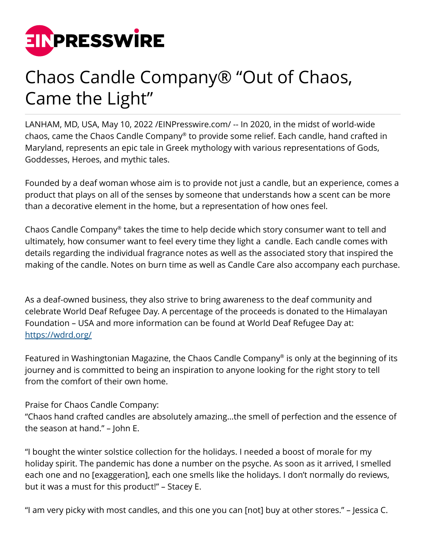

## Chaos Candle Company® "Out of Chaos, Came the Light"

LANHAM, MD, USA, May 10, 2022 /[EINPresswire.com/](http://www.einpresswire.com) -- In 2020, in the midst of world-wide chaos, came the Chaos Candle Company® to provide some relief. Each candle, hand crafted in Maryland, represents an epic tale in Greek mythology with various representations of Gods, Goddesses, Heroes, and mythic tales.

Founded by a deaf woman whose aim is to provide not just a candle, but an experience, comes a product that plays on all of the senses by someone that understands how a scent can be more than a decorative element in the home, but a representation of how ones feel.

Chaos Candle Company® takes the time to help decide which story consumer want to tell and ultimately, how consumer want to feel every time they light a candle. Each candle comes with details regarding the individual fragrance notes as well as the associated story that inspired the making of the candle. Notes on burn time as well as Candle Care also accompany each purchase.

As a deaf-owned business, they also strive to bring awareness to the deaf community and celebrate World Deaf Refugee Day. A percentage of the proceeds is donated to the Himalayan Foundation – USA and more information can be found at World Deaf Refugee Day at: <https://wdrd.org/>

Featured in Washingtonian Magazine, the Chaos Candle Company® is only at the beginning of its journey and is committed to being an inspiration to anyone looking for the right story to tell from the comfort of their own home.

Praise for Chaos Candle Company:

"Chaos hand crafted candles are absolutely amazing…the smell of perfection and the essence of the season at hand." – John E.

"I bought the winter solstice collection for the holidays. I needed a boost of morale for my holiday spirit. The pandemic has done a number on the psyche. As soon as it arrived, I smelled each one and no [exaggeration], each one smells like the holidays. I don't normally do reviews, but it was a must for this product!" – Stacey E.

"I am very picky with most candles, and this one you can [not] buy at other stores." – Jessica C.